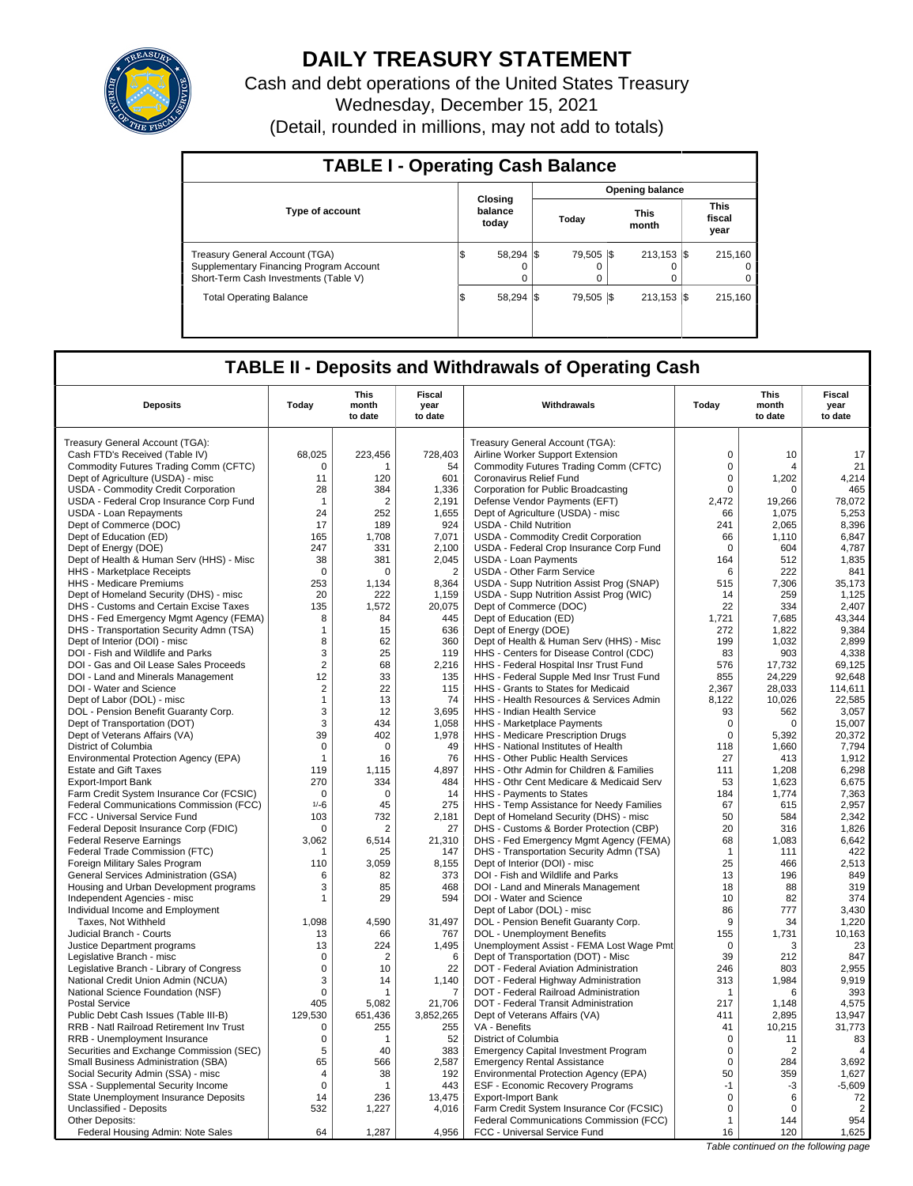

# **DAILY TREASURY STATEMENT**

Cash and debt operations of the United States Treasury Wednesday, December 15, 2021 (Detail, rounded in millions, may not add to totals)

| <b>TABLE I - Operating Cash Balance</b>                                                                            |    |                             |  |                       |  |                                |  |                               |  |  |  |  |
|--------------------------------------------------------------------------------------------------------------------|----|-----------------------------|--|-----------------------|--|--------------------------------|--|-------------------------------|--|--|--|--|
|                                                                                                                    |    |                             |  |                       |  | <b>Opening balance</b>         |  |                               |  |  |  |  |
| <b>Type of account</b>                                                                                             |    | Closing<br>balance<br>today |  | Today                 |  | <b>This</b><br>month           |  | <b>This</b><br>fiscal<br>year |  |  |  |  |
| Treasury General Account (TGA)<br>Supplementary Financing Program Account<br>Short-Term Cash Investments (Table V) |    | 58.294 \$<br>0              |  | 79.505   \$<br>0<br>0 |  | $213.153$ $\sqrt{5}$<br>O<br>0 |  | 215.160<br>$^{\circ}$<br>0    |  |  |  |  |
| <b>Total Operating Balance</b>                                                                                     | ۱J | 58.294 \\$                  |  | 79.505   \$           |  | $213.153$ S                    |  | 215.160                       |  |  |  |  |

## **TABLE II - Deposits and Withdrawals of Operating Cash**

|                                                                                  |                | <b>This</b>          | <b>Fiscal</b>           |                                                                               |              | <b>This</b>                           | <b>Fiscal</b>   |
|----------------------------------------------------------------------------------|----------------|----------------------|-------------------------|-------------------------------------------------------------------------------|--------------|---------------------------------------|-----------------|
| <b>Deposits</b>                                                                  | Today          | month                | year                    | Withdrawals                                                                   | Today        | month                                 | year            |
|                                                                                  |                | to date              | to date                 |                                                                               |              | to date                               | to date         |
| Treasury General Account (TGA):                                                  |                |                      |                         | Treasury General Account (TGA):                                               |              |                                       |                 |
| Cash FTD's Received (Table IV)                                                   | 68,025         | 223,456              | 728,403                 | Airline Worker Support Extension                                              | $\mathbf 0$  | 10                                    | 17              |
| Commodity Futures Trading Comm (CFTC)                                            | $\Omega$       |                      | 54                      | Commodity Futures Trading Comm (CFTC)                                         | $\Omega$     | Δ                                     | 21              |
| Dept of Agriculture (USDA) - misc                                                | 11             | 120                  | 601                     | Coronavirus Relief Fund                                                       | $\mathbf 0$  | 1,202                                 | 4,214           |
| USDA - Commodity Credit Corporation                                              | 28             | 384                  | 1,336                   | Corporation for Public Broadcasting                                           | 0            | $\Omega$                              | 465             |
| USDA - Federal Crop Insurance Corp Fund                                          | $\overline{1}$ | $\overline{2}$       | 2,191                   | Defense Vendor Payments (EFT)                                                 | 2,472        | 19,266                                | 78,072          |
| USDA - Loan Repayments                                                           | 24             | 252                  | 1,655                   | Dept of Agriculture (USDA) - misc                                             | 66           | 1,075                                 | 5,253           |
| Dept of Commerce (DOC)                                                           | 17             | 189                  | 924                     | <b>USDA - Child Nutrition</b>                                                 | 241          | 2,065                                 | 8,396           |
| Dept of Education (ED)                                                           | 165            | 1.708                | 7,071                   | USDA - Commodity Credit Corporation                                           | 66           | 1.110                                 | 6.847           |
| Dept of Energy (DOE)                                                             | 247            | 331                  | 2,100                   | USDA - Federal Crop Insurance Corp Fund                                       | $\Omega$     | 604                                   | 4,787           |
| Dept of Health & Human Serv (HHS) - Misc                                         | 38<br>$\Omega$ | 381<br>$\Omega$      | 2.045<br>$\overline{2}$ | <b>USDA - Loan Payments</b>                                                   | 164          | 512                                   | 1.835           |
| HHS - Marketplace Receipts                                                       |                |                      |                         | <b>USDA - Other Farm Service</b>                                              | 6            | 222                                   | 841             |
| HHS - Medicare Premiums                                                          | 253            | 1.134                | 8,364                   | USDA - Supp Nutrition Assist Prog (SNAP)                                      | 515          | 7,306                                 | 35.173          |
| Dept of Homeland Security (DHS) - misc<br>DHS - Customs and Certain Excise Taxes | 20<br>135      | 222<br>1.572         | 1,159<br>20.075         | USDA - Supp Nutrition Assist Prog (WIC)                                       | 14<br>22     | 259<br>334                            | 1,125<br>2.407  |
| DHS - Fed Emergency Mgmt Agency (FEMA)                                           | 8              | 84                   | 445                     | Dept of Commerce (DOC)<br>Dept of Education (ED)                              | 1,721        | 7,685                                 | 43,344          |
| DHS - Transportation Security Admn (TSA)                                         | $\mathbf{1}$   | 15                   | 636                     | Dept of Energy (DOE)                                                          | 272          | 1,822                                 | 9,384           |
| Dept of Interior (DOI) - misc                                                    | 8              | 62                   | 360                     | Dept of Health & Human Serv (HHS) - Misc                                      | 199          | 1,032                                 | 2,899           |
| DOI - Fish and Wildlife and Parks                                                | 3              | 25                   | 119                     | HHS - Centers for Disease Control (CDC)                                       | 83           | 903                                   | 4.338           |
| DOI - Gas and Oil Lease Sales Proceeds                                           | $\overline{2}$ | 68                   | 2,216                   | HHS - Federal Hospital Insr Trust Fund                                        | 576          | 17,732                                | 69,125          |
| DOI - Land and Minerals Management                                               | 12             | 33                   | 135                     | HHS - Federal Supple Med Insr Trust Fund                                      | 855          | 24.229                                | 92,648          |
| DOI - Water and Science                                                          | $\overline{c}$ | 22                   | 115                     | HHS - Grants to States for Medicaid                                           | 2,367        | 28,033                                | 114,611         |
| Dept of Labor (DOL) - misc                                                       | $\mathbf{1}$   | 13                   | 74                      | HHS - Health Resources & Services Admin                                       | 8,122        | 10.026                                | 22.585          |
| DOL - Pension Benefit Guaranty Corp.                                             | 3              | 12                   | 3,695                   | HHS - Indian Health Service                                                   | 93           | 562                                   | 3,057           |
| Dept of Transportation (DOT)                                                     | 3              | 434                  | 1,058                   | HHS - Marketplace Payments                                                    | 0            | 0                                     | 15,007          |
| Dept of Veterans Affairs (VA)                                                    | 39             | 402                  | 1,978                   | HHS - Medicare Prescription Drugs                                             | $\Omega$     | 5,392                                 | 20,372          |
| District of Columbia                                                             | $\Omega$       | $\Omega$             | 49                      | HHS - National Institutes of Health                                           | 118          | 1,660                                 | 7,794           |
| Environmental Protection Agency (EPA)                                            | $\mathbf{1}$   | 16                   | 76                      | HHS - Other Public Health Services                                            | 27           | 413                                   | 1,912           |
| <b>Estate and Gift Taxes</b>                                                     | 119            | 1,115                | 4,897                   | HHS - Othr Admin for Children & Families                                      | 111          | 1,208                                 | 6,298           |
| <b>Export-Import Bank</b>                                                        | 270            | 334                  | 484                     | HHS - Othr Cent Medicare & Medicaid Serv                                      | 53           | 1,623                                 | 6,675           |
| Farm Credit System Insurance Cor (FCSIC)                                         | $\Omega$       | $\Omega$             | 14                      | HHS - Payments to States                                                      | 184          | 1,774                                 | 7,363           |
| Federal Communications Commission (FCC)                                          | $1/-6$         | 45                   | 275                     | HHS - Temp Assistance for Needy Families                                      | 67           | 615                                   | 2,957           |
| FCC - Universal Service Fund                                                     | 103            | 732                  | 2,181                   | Dept of Homeland Security (DHS) - misc                                        | 50           | 584                                   | 2,342           |
| Federal Deposit Insurance Corp (FDIC)                                            | $\Omega$       | 2                    | 27                      | DHS - Customs & Border Protection (CBP)                                       | 20           | 316                                   | 1,826           |
| <b>Federal Reserve Earnings</b>                                                  | 3,062          | 6,514                | 21,310                  | DHS - Fed Emergency Mgmt Agency (FEMA)                                        | 68           | 1,083                                 | 6,642           |
| Federal Trade Commission (FTC)                                                   |                | 25                   | 147                     | DHS - Transportation Security Admn (TSA)                                      | $\mathbf{1}$ | 111                                   | 422             |
| Foreign Military Sales Program                                                   | 110            | 3,059                | 8,155                   | Dept of Interior (DOI) - misc                                                 | 25           | 466                                   | 2,513           |
| <b>General Services Administration (GSA)</b>                                     | 6              | 82                   | 373                     | DOI - Fish and Wildlife and Parks                                             | 13           | 196                                   | 849             |
| Housing and Urban Development programs                                           | 3              | 85                   | 468                     | DOI - Land and Minerals Management                                            | 18           | 88                                    | 319             |
| Independent Agencies - misc                                                      | 1              | 29                   | 594                     | DOI - Water and Science                                                       | 10           | 82                                    | 374             |
| Individual Income and Employment                                                 |                |                      |                         | Dept of Labor (DOL) - misc                                                    | 86           | 777                                   | 3,430           |
| Taxes. Not Withheld                                                              | 1.098          | 4.590                | 31.497                  | DOL - Pension Benefit Guaranty Corp.                                          | 9            | 34                                    | 1.220           |
| Judicial Branch - Courts                                                         | 13             | 66                   | 767                     | DOL - Unemployment Benefits                                                   | 155          | 1,731                                 | 10,163          |
| Justice Department programs                                                      | 13             | 224                  | 1,495                   | Unemployment Assist - FEMA Lost Wage Pmt                                      | $\mathbf 0$  | 3                                     | 23              |
| Legislative Branch - misc                                                        | $\Omega$       | $\overline{2}$       | 6<br>22                 | Dept of Transportation (DOT) - Misc                                           | 39           | 212                                   | 847<br>2.955    |
| Legislative Branch - Library of Congress                                         | 0              | 10                   |                         | DOT - Federal Aviation Administration                                         | 246          | 803                                   |                 |
| National Credit Union Admin (NCUA)                                               | 3<br>0         | 14<br>$\overline{1}$ | 1,140                   | DOT - Federal Highway Administration<br>DOT - Federal Railroad Administration | 313          | 1,984                                 | 9,919<br>393    |
| National Science Foundation (NSF)                                                |                |                      | 7                       |                                                                               | $\mathbf{1}$ | 6                                     |                 |
| <b>Postal Service</b><br>Public Debt Cash Issues (Table III-B)                   | 405<br>129,530 | 5,082<br>651.436     | 21,706<br>3,852,265     | DOT - Federal Transit Administration<br>Dept of Veterans Affairs (VA)         | 217<br>411   | 1,148<br>2,895                        | 4,575<br>13.947 |
| RRB - Natl Railroad Retirement Inv Trust                                         | 0              | 255                  | 255                     | VA - Benefits                                                                 | 41           | 10,215                                | 31,773          |
| RRB - Unemployment Insurance                                                     | 0              | $\overline{1}$       | 52                      | District of Columbia                                                          | 0            | 11                                    | 83              |
| Securities and Exchange Commission (SEC)                                         | 5              | 40                   | 383                     | <b>Emergency Capital Investment Program</b>                                   | $\Omega$     | $\overline{2}$                        | $\overline{4}$  |
| Small Business Administration (SBA)                                              | 65             | 566                  | 2.587                   | <b>Emergency Rental Assistance</b>                                            | $\Omega$     | 284                                   | 3,692           |
| Social Security Admin (SSA) - misc                                               | 4              | 38                   | 192                     | Environmental Protection Agency (EPA)                                         | 50           | 359                                   | 1,627           |
| SSA - Supplemental Security Income                                               | $\mathbf 0$    | 1                    | 443                     | ESF - Economic Recovery Programs                                              | $-1$         | -3                                    | $-5,609$        |
| State Unemployment Insurance Deposits                                            | 14             | 236                  | 13,475                  | <b>Export-Import Bank</b>                                                     | $\mathsf 0$  | 6                                     | 72              |
| Unclassified - Deposits                                                          | 532            | 1,227                | 4,016                   | Farm Credit System Insurance Cor (FCSIC)                                      | $\Omega$     | $\Omega$                              | $\overline{2}$  |
| Other Deposits:                                                                  |                |                      |                         | Federal Communications Commission (FCC)                                       | $\mathbf{1}$ | 144                                   | 954             |
| Federal Housing Admin: Note Sales                                                | 64             | 1,287                | 4,956                   | FCC - Universal Service Fund                                                  | 16           | 120                                   | 1,625           |
|                                                                                  |                |                      |                         |                                                                               |              | Table continued on the following page |                 |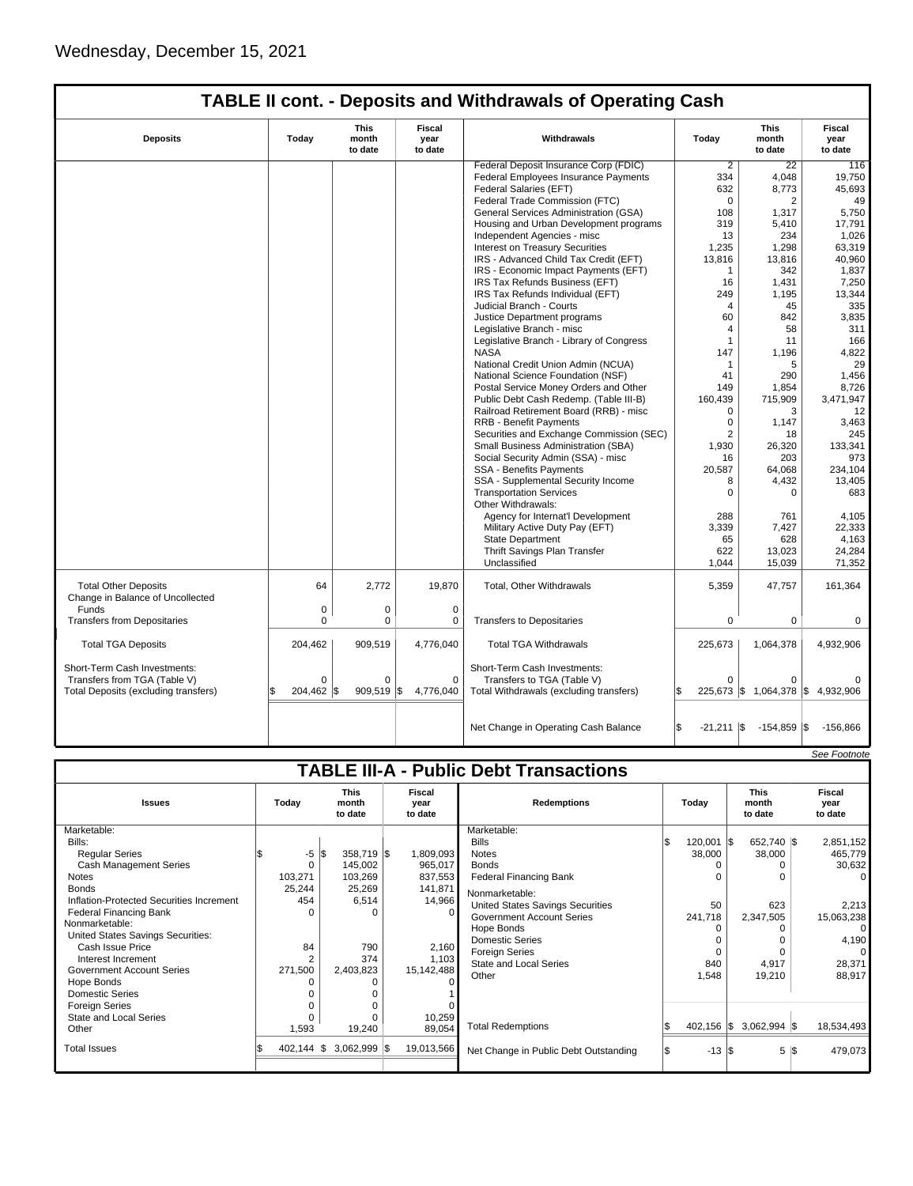| <b>TABLE II cont. - Deposits and Withdrawals of Operating Cash</b> |             |                                 |                                  |                                          |                            |                                 |                                  |  |
|--------------------------------------------------------------------|-------------|---------------------------------|----------------------------------|------------------------------------------|----------------------------|---------------------------------|----------------------------------|--|
| <b>Deposits</b>                                                    | Today       | <b>This</b><br>month<br>to date | <b>Fiscal</b><br>year<br>to date | Withdrawals                              | Today                      | <b>This</b><br>month<br>to date | <b>Fiscal</b><br>year<br>to date |  |
|                                                                    |             |                                 |                                  | Federal Deposit Insurance Corp (FDIC)    | 2                          | 22                              | 116                              |  |
|                                                                    |             |                                 |                                  | Federal Employees Insurance Payments     | 334                        | 4,048                           | 19,750                           |  |
|                                                                    |             |                                 |                                  | Federal Salaries (EFT)                   | 632                        | 8,773                           | 45,693                           |  |
|                                                                    |             |                                 |                                  | Federal Trade Commission (FTC)           | $\Omega$                   | $\overline{2}$                  | 49                               |  |
|                                                                    |             |                                 |                                  | General Services Administration (GSA)    | 108                        | 1,317                           | 5,750                            |  |
|                                                                    |             |                                 |                                  | Housing and Urban Development programs   | 319                        | 5,410                           | 17,791                           |  |
|                                                                    |             |                                 |                                  | Independent Agencies - misc              | 13                         | 234                             | 1.026                            |  |
|                                                                    |             |                                 |                                  | Interest on Treasury Securities          | 1,235                      | 1,298                           | 63,319                           |  |
|                                                                    |             |                                 |                                  | IRS - Advanced Child Tax Credit (EFT)    | 13,816                     | 13,816                          | 40,960                           |  |
|                                                                    |             |                                 |                                  | IRS - Economic Impact Payments (EFT)     | $\mathbf{1}$               | 342                             | 1,837                            |  |
|                                                                    |             |                                 |                                  | IRS Tax Refunds Business (EFT)           | 16                         | 1,431                           | 7,250                            |  |
|                                                                    |             |                                 |                                  | IRS Tax Refunds Individual (EFT)         | 249                        | 1.195                           | 13,344                           |  |
|                                                                    |             |                                 |                                  | Judicial Branch - Courts                 | $\overline{4}$             | 45                              | 335                              |  |
|                                                                    |             |                                 |                                  | Justice Department programs              | 60                         | 842                             | 3,835                            |  |
|                                                                    |             |                                 |                                  | Legislative Branch - misc                | 4                          | 58                              | 311                              |  |
|                                                                    |             |                                 |                                  | Legislative Branch - Library of Congress | $\mathbf{1}$               | 11                              | 166                              |  |
|                                                                    |             |                                 |                                  | <b>NASA</b>                              | 147                        | 1,196                           | 4,822                            |  |
|                                                                    |             |                                 |                                  | National Credit Union Admin (NCUA)       | 1                          | 5                               | 29                               |  |
|                                                                    |             |                                 |                                  | National Science Foundation (NSF)        | 41                         | 290                             | 1,456                            |  |
|                                                                    |             |                                 |                                  | Postal Service Money Orders and Other    | 149                        | 1,854                           | 8,726                            |  |
|                                                                    |             |                                 |                                  | Public Debt Cash Redemp. (Table III-B)   | 160,439                    | 715,909                         | 3,471,947                        |  |
|                                                                    |             |                                 |                                  | Railroad Retirement Board (RRB) - misc   | $\Omega$                   | 3                               | 12                               |  |
|                                                                    |             |                                 |                                  | <b>RRB - Benefit Payments</b>            | $\mathbf 0$                | 1,147                           | 3,463                            |  |
|                                                                    |             |                                 |                                  | Securities and Exchange Commission (SEC) | $\overline{2}$             | 18                              | 245                              |  |
|                                                                    |             |                                 |                                  | Small Business Administration (SBA)      | 1,930                      | 26,320                          | 133,341                          |  |
|                                                                    |             |                                 |                                  | Social Security Admin (SSA) - misc       | 16                         | 203                             | 973                              |  |
|                                                                    |             |                                 |                                  | <b>SSA - Benefits Payments</b>           | 20,587                     | 64,068                          | 234,104                          |  |
|                                                                    |             |                                 |                                  | SSA - Supplemental Security Income       | 8                          | 4,432                           | 13,405                           |  |
|                                                                    |             |                                 |                                  | <b>Transportation Services</b>           | $\mathbf 0$                | 0                               | 683                              |  |
|                                                                    |             |                                 |                                  | Other Withdrawals:                       |                            |                                 |                                  |  |
|                                                                    |             |                                 |                                  | Agency for Internat'l Development        | 288                        | 761                             | 4,105                            |  |
|                                                                    |             |                                 |                                  | Military Active Duty Pay (EFT)           | 3.339                      | 7,427                           | 22,333                           |  |
|                                                                    |             |                                 |                                  | <b>State Department</b>                  | 65                         | 628                             | 4,163                            |  |
|                                                                    |             |                                 |                                  | Thrift Savings Plan Transfer             | 622                        | 13,023                          | 24,284                           |  |
|                                                                    |             |                                 |                                  | Unclassified                             | 1,044                      | 15,039                          | 71,352                           |  |
|                                                                    |             |                                 |                                  |                                          |                            |                                 |                                  |  |
| <b>Total Other Deposits</b>                                        | 64          | 2,772                           | 19,870                           | Total, Other Withdrawals                 | 5,359                      | 47,757                          | 161,364                          |  |
| Change in Balance of Uncollected                                   |             |                                 |                                  |                                          |                            |                                 |                                  |  |
| Funds                                                              | 0           | 0                               | $\mathbf 0$                      |                                          |                            |                                 |                                  |  |
| <b>Transfers from Depositaries</b>                                 | $\mathbf 0$ | 0                               | 0                                | <b>Transfers to Depositaries</b>         | 0                          | 0                               | 0                                |  |
| <b>Total TGA Deposits</b>                                          | 204,462     | 909,519                         | 4,776,040                        | <b>Total TGA Withdrawals</b>             | 225,673                    | 1,064,378                       | 4,932,906                        |  |
| Short-Term Cash Investments:                                       |             |                                 |                                  | Short-Term Cash Investments:             |                            |                                 |                                  |  |
| Transfers from TGA (Table V)                                       | $\Omega$    | $\Omega$                        | $\mathbf 0$                      | Transfers to TGA (Table V)               | $\Omega$                   | $\Omega$                        |                                  |  |
| Total Deposits (excluding transfers)                               | 204,462 \$  | 909,519                         | l\$<br>4,776,040                 | Total Withdrawals (excluding transfers)  |                            | 225,673 \$1,064,378 \$4,932,906 |                                  |  |
|                                                                    |             |                                 |                                  |                                          |                            |                                 |                                  |  |
|                                                                    |             |                                 |                                  | Net Change in Operating Cash Balance     | Ŝ.<br>$-21,211$ $\sqrt{5}$ | $-154,859$ \\$                  | $-156,866$                       |  |

|                                               |          |                                 |                           |                                       |  |                       |                                 |  | See Footnote              |
|-----------------------------------------------|----------|---------------------------------|---------------------------|---------------------------------------|--|-----------------------|---------------------------------|--|---------------------------|
| <b>TABLE III-A - Public Debt Transactions</b> |          |                                 |                           |                                       |  |                       |                                 |  |                           |
| <b>Issues</b>                                 | Today    | <b>This</b><br>month<br>to date | Fiscal<br>year<br>to date | <b>Redemptions</b>                    |  | Todav                 | <b>This</b><br>month<br>to date |  | Fiscal<br>year<br>to date |
| Marketable:                                   |          |                                 |                           | Marketable:                           |  |                       |                                 |  |                           |
| Bills:                                        |          |                                 |                           | <b>Bills</b>                          |  | $120,001$ $\sqrt{\$}$ | 652,740 \$                      |  | 2,851,152                 |
| <b>Regular Series</b>                         | $-5$     | l\$<br>358,719 \$               | 1,809,093                 | <b>Notes</b>                          |  | 38,000                | 38,000                          |  | 465,779                   |
| <b>Cash Management Series</b>                 | $\Omega$ | 145,002                         | 965,017                   | <b>Bonds</b>                          |  |                       | ∩                               |  | 30,632                    |
| <b>Notes</b>                                  | 103,271  | 103,269                         | 837,553                   | <b>Federal Financing Bank</b>         |  |                       | $\Omega$                        |  | $\Omega$                  |
| <b>Bonds</b>                                  | 25,244   | 25,269                          | 141,871                   | Nonmarketable:                        |  |                       |                                 |  |                           |
| Inflation-Protected Securities Increment      | 454      | 6,514                           | 14,966                    | United States Savings Securities      |  | 50                    | 623                             |  | 2,213                     |
| <b>Federal Financing Bank</b>                 | n        | ŋ                               |                           | <b>Government Account Series</b>      |  | 241,718               | 2,347,505                       |  | 15,063,238                |
| Nonmarketable:                                |          |                                 |                           | Hope Bonds                            |  |                       | $\Omega$                        |  | $\Omega$                  |
| United States Savings Securities:             |          |                                 |                           | <b>Domestic Series</b>                |  |                       | 0                               |  | 4,190                     |
| Cash Issue Price                              | 84       | 790                             | 2,160                     | <b>Foreign Series</b>                 |  |                       | $\Omega$                        |  | 0                         |
| Interest Increment                            |          | 374                             | 1,103                     | <b>State and Local Series</b>         |  | 840                   | 4,917                           |  | 28,371                    |
| <b>Government Account Series</b>              | 271,500  | 2,403,823                       | 15,142,488                | Other                                 |  | 1.548                 | 19,210                          |  | 88,917                    |
| Hope Bonds                                    |          |                                 |                           |                                       |  |                       |                                 |  |                           |
| <b>Domestic Series</b>                        |          |                                 |                           |                                       |  |                       |                                 |  |                           |
| <b>Foreign Series</b>                         |          |                                 |                           |                                       |  |                       |                                 |  |                           |
| State and Local Series                        | 0        |                                 | 10,259                    |                                       |  |                       |                                 |  |                           |
| Other                                         | 1,593    | 19,240                          | 89,054                    | <b>Total Redemptions</b>              |  | $402,156$ \\$         | $3,062,994$ \$                  |  | 18,534,493                |
| <b>Total Issues</b>                           | 402,144  | $3,062,999$ \$<br>I\$           | 19,013,566                | Net Change in Public Debt Outstanding |  | $-13$ $\sqrt{3}$      | 5 S                             |  | 479,073                   |
|                                               |          |                                 |                           |                                       |  |                       |                                 |  |                           |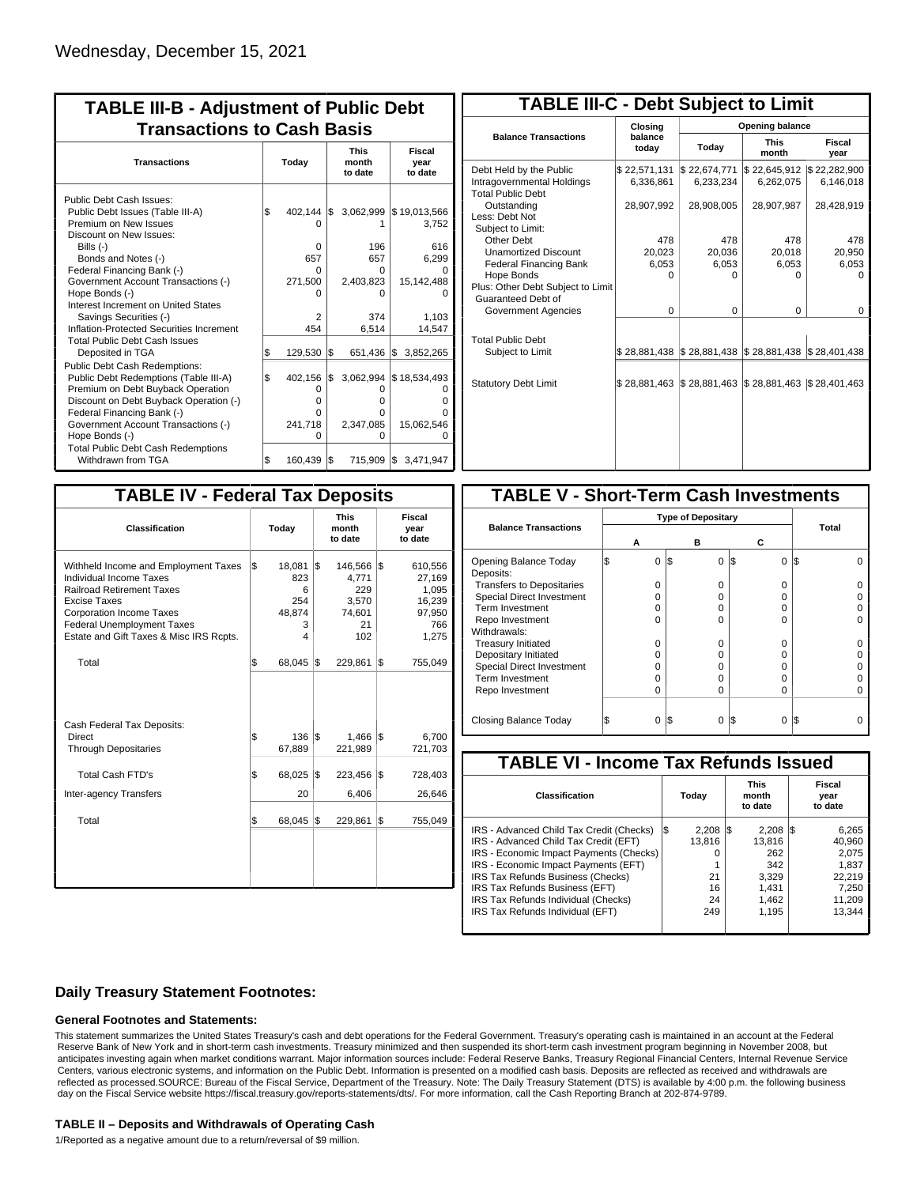| <b>TABLE III-B - Adjustment of Public Debt</b><br><b>Transactions to Cash Basis</b> |       |               |     |                                 |                                  |  |  |  |
|-------------------------------------------------------------------------------------|-------|---------------|-----|---------------------------------|----------------------------------|--|--|--|
| <b>Transactions</b>                                                                 | Today |               |     | <b>This</b><br>month<br>to date | <b>Fiscal</b><br>year<br>to date |  |  |  |
| Public Debt Cash Issues:<br>Public Debt Issues (Table III-A)                        | 1\$   | $402,144$ \\$ |     | 3,062,999                       | \$19,013,566                     |  |  |  |
| Premium on New Issues<br>Discount on New Issues:                                    |       |               |     |                                 | 3,752                            |  |  |  |
| Bills $(-)$                                                                         |       | 0             |     | 196                             | 616                              |  |  |  |
| Bonds and Notes (-)                                                                 |       | 657           |     | 657                             | 6,299                            |  |  |  |
| Federal Financing Bank (-)                                                          |       | O             |     | 0                               |                                  |  |  |  |
| Government Account Transactions (-)                                                 |       | 271,500       |     | 2,403,823                       | 15,142,488                       |  |  |  |
| Hope Bonds (-)                                                                      |       |               |     | ŋ                               |                                  |  |  |  |
| Interest Increment on United States                                                 |       |               |     |                                 |                                  |  |  |  |
| Savings Securities (-)                                                              |       | 2             |     | 374                             | 1.103                            |  |  |  |
| Inflation-Protected Securities Increment                                            |       | 454           |     | 6,514                           | 14,547                           |  |  |  |
| <b>Total Public Debt Cash Issues</b><br>Deposited in TGA                            | S.    | 129,530       | l\$ |                                 | 651,436 \$ 3,852,265             |  |  |  |
| Public Debt Cash Redemptions:                                                       |       |               |     |                                 |                                  |  |  |  |
| Public Debt Redemptions (Table III-A)                                               | l\$   | 402,156       | I\$ |                                 | 3,062,994 \$18,534,493           |  |  |  |
| Premium on Debt Buyback Operation                                                   |       | 0             |     | O                               | O                                |  |  |  |
| Discount on Debt Buyback Operation (-)                                              |       | O             |     | 0                               | ი                                |  |  |  |
| Federal Financing Bank (-)                                                          |       | O             |     | 0                               | n                                |  |  |  |
| Government Account Transactions (-)                                                 |       | 241,718       |     | 2,347,085                       | 15,062,546                       |  |  |  |
| Hope Bonds (-)                                                                      |       | O             |     | O                               | ŋ                                |  |  |  |
| <b>Total Public Debt Cash Redemptions</b>                                           |       |               |     |                                 |                                  |  |  |  |
| Withdrawn from TGA                                                                  | l\$   | 160,439 \$    |     |                                 | 715,909 \$ 3,471,947             |  |  |  |

| <b>TABLE III-C - Debt Subject to Limit</b>                                        |                           |                                            |                           |                           |  |  |  |  |  |
|-----------------------------------------------------------------------------------|---------------------------|--------------------------------------------|---------------------------|---------------------------|--|--|--|--|--|
|                                                                                   | Closing                   | <b>Opening balance</b>                     |                           |                           |  |  |  |  |  |
| <b>Balance Transactions</b>                                                       | balance<br>today          | Today                                      | <b>This</b><br>month      | <b>Fiscal</b><br>year     |  |  |  |  |  |
| Debt Held by the Public<br>Intragovernmental Holdings<br><b>Total Public Debt</b> | \$22,571,131<br>6.336.861 | \$22,674,771<br>6,233,234                  | \$22,645,912<br>6,262,075 | \$22,282,900<br>6,146,018 |  |  |  |  |  |
| Outstanding<br>Less: Debt Not<br>Subject to Limit:                                | 28,907,992                | 28,908,005                                 | 28,907,987                | 28,428,919                |  |  |  |  |  |
| Other Debt                                                                        | 478                       | 478                                        | 478                       | 478                       |  |  |  |  |  |
| <b>Unamortized Discount</b>                                                       | 20.023                    | 20.036                                     | 20,018                    | 20,950                    |  |  |  |  |  |
| <b>Federal Financing Bank</b>                                                     | 6,053                     | 6,053                                      | 6,053                     | 6,053                     |  |  |  |  |  |
| Hope Bonds                                                                        | 0                         | O                                          | o                         | O                         |  |  |  |  |  |
| Plus: Other Debt Subject to Limit<br>Guaranteed Debt of                           |                           |                                            |                           |                           |  |  |  |  |  |
| Government Agencies                                                               | $\Omega$                  | $\Omega$                                   | 0                         | 0                         |  |  |  |  |  |
| <b>Total Public Debt</b><br>Subject to Limit                                      |                           | \$28,881,438   \$28,881,438   \$28,881,438 |                           | \$28,401,438              |  |  |  |  |  |
| <b>Statutory Debt Limit</b>                                                       | \$28,881,463              | \$28,881,463                               | \$28,881,463              | \$28,401,463              |  |  |  |  |  |
|                                                                                   |                           |                                            |                           |                           |  |  |  |  |  |

| <b>TABLE IV - Federal Tax Deposits</b>                                                                                                                                                                                                        |     |                                               |     |                                                         |     |                                                                |  |  |  |  |  |  |  |                                 |  |                           |
|-----------------------------------------------------------------------------------------------------------------------------------------------------------------------------------------------------------------------------------------------|-----|-----------------------------------------------|-----|---------------------------------------------------------|-----|----------------------------------------------------------------|--|--|--|--|--|--|--|---------------------------------|--|---------------------------|
| <b>Classification</b>                                                                                                                                                                                                                         |     | Today                                         |     |                                                         |     |                                                                |  |  |  |  |  |  |  | <b>This</b><br>month<br>to date |  | Fiscal<br>year<br>to date |
| Withheld Income and Employment Taxes<br>Individual Income Taxes<br><b>Railroad Retirement Taxes</b><br><b>Excise Taxes</b><br><b>Corporation Income Taxes</b><br><b>Federal Unemployment Taxes</b><br>Estate and Gift Taxes & Misc IRS Rcpts. | l\$ | 18,081<br>823<br>6<br>254<br>48,874<br>3<br>4 | l\$ | 146,566<br>4,771<br>229<br>3,570<br>74,601<br>21<br>102 | 1\$ | 610,556<br>27,169<br>1,095<br>16,239<br>97,950<br>766<br>1,275 |  |  |  |  |  |  |  |                                 |  |                           |
| Total                                                                                                                                                                                                                                         | \$  | 68,045                                        | 1\$ | 229,861                                                 | 1\$ | 755,049                                                        |  |  |  |  |  |  |  |                                 |  |                           |
| Cash Federal Tax Deposits:<br>Direct<br><b>Through Depositaries</b>                                                                                                                                                                           | \$  | 136<br>67,889                                 | l\$ | 1,466<br>221,989                                        | l\$ | 6,700<br>721,703                                               |  |  |  |  |  |  |  |                                 |  |                           |
| <b>Total Cash FTD's</b><br><b>Inter-agency Transfers</b>                                                                                                                                                                                      | \$  | 68,025<br>20                                  | 1\$ | 223,456<br>6,406                                        | 1\$ | 728,403<br>26,646                                              |  |  |  |  |  |  |  |                                 |  |                           |
| Total                                                                                                                                                                                                                                         | \$  | 68,045                                        | 1\$ | 229,861                                                 | l\$ | 755,049                                                        |  |  |  |  |  |  |  |                                 |  |                           |
|                                                                                                                                                                                                                                               |     |                                               |     |                                                         |     |                                                                |  |  |  |  |  |  |  |                                 |  |                           |

| <b>TABLE V - Short-Term Cash Investments</b> |   |                           |     |          |                 |       |  |
|----------------------------------------------|---|---------------------------|-----|----------|-----------------|-------|--|
|                                              |   | <b>Type of Depositary</b> |     |          |                 |       |  |
| <b>Balance Transactions</b>                  | А |                           |     | в        | С               | Total |  |
| Opening Balance Today<br>Deposits:           |   | $\Omega$                  | I\$ | $\Omega$ | $\Omega$<br>I\$ | I\$   |  |
| <b>Transfers to Depositaries</b>             |   | O                         |     | O        | 0               |       |  |
| <b>Special Direct Investment</b>             |   | Ω                         |     | O        | 0               |       |  |
| Term Investment                              |   | Ω                         |     | Ω        | U               |       |  |
| Repo Investment                              |   | ი                         |     | O        | 0               |       |  |
| Withdrawals:                                 |   |                           |     |          |                 |       |  |
| <b>Treasury Initiated</b>                    |   | O                         |     | Ω        | 0               |       |  |
| Depositary Initiated                         |   | Ω                         |     |          | 0               |       |  |
| Special Direct Investment                    |   | Ω                         |     |          | $\Omega$        |       |  |
| <b>Term Investment</b>                       |   | Ω                         |     | Ω        | 0               |       |  |
| Repo Investment                              |   | O                         |     | Ω        | 0               |       |  |
| Closing Balance Today                        |   | 0                         | I\$ | 0        | S<br>0          | I\$   |  |
|                                              |   |                           |     |          |                 |       |  |

| <b>TABLE VI - Income Tax Refunds Issued</b> |              |                                 |                           |  |  |  |  |  |  |
|---------------------------------------------|--------------|---------------------------------|---------------------------|--|--|--|--|--|--|
| Classification                              | Todav        | <b>This</b><br>month<br>to date | Fiscal<br>year<br>to date |  |  |  |  |  |  |
| IRS - Advanced Child Tax Credit (Checks)    | 2.208<br>l\$ | $2,208$ \\$<br>13               | 6,265                     |  |  |  |  |  |  |
| IRS - Advanced Child Tax Credit (EFT)       | 13.816       | 13.816                          | 40.960                    |  |  |  |  |  |  |
| IRS - Economic Impact Payments (Checks)     |              | 262                             | 2.075                     |  |  |  |  |  |  |
| IRS - Economic Impact Payments (EFT)        |              | 342                             | 1.837                     |  |  |  |  |  |  |
| IRS Tax Refunds Business (Checks)           | 21           | 3.329                           | 22.219                    |  |  |  |  |  |  |
| IRS Tax Refunds Business (EFT)              | 16           | 1.431                           | 7.250                     |  |  |  |  |  |  |
| IRS Tax Refunds Individual (Checks)         | 24           | 1,462                           | 11,209                    |  |  |  |  |  |  |
| IRS Tax Refunds Individual (EFT)            | 249          | 1,195                           | 13.344                    |  |  |  |  |  |  |
|                                             |              |                                 |                           |  |  |  |  |  |  |

### **Daily Treasury Statement Footnotes:**

#### **General Footnotes and Statements:**

This statement summarizes the United States Treasury's cash and debt operations for the Federal Government. Treasury's operating cash is maintained in an account at the Federal Reserve Bank of New York and in short-term cash investments. Treasury minimized and then suspended its short-term cash investment program beginning in November 2008, but anticipates investing again when market conditions warrant. Major information sources include: Federal Reserve Banks, Treasury Regional Financial Centers, Internal Revenue Service Centers, various electronic systems, and information on the Public Debt. Information is presented on a modified cash basis. Deposits are reflected as received and withdrawals are reflected as processed.SOURCE: Bureau of the Fiscal Service, Department of the Treasury. Note: The Daily Treasury Statement (DTS) is available by 4:00 p.m. the following business day on the Fiscal Service website https://fiscal.treasury.gov/reports-statements/dts/. For more information, call the Cash Reporting Branch at 202-874-9789.

#### **TABLE II – Deposits and Withdrawals of Operating Cash**

1/Reported as a negative amount due to a return/reversal of \$9 million.